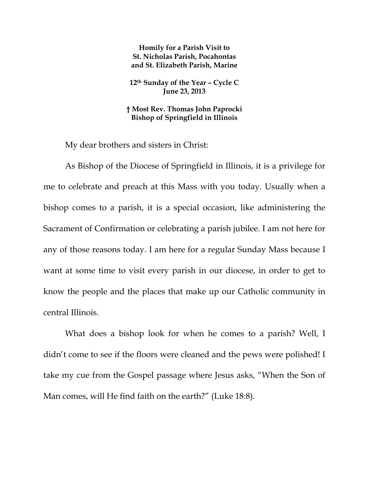**Homily for a Parish Visit to St. Nicholas Parish, Pocahontas and St. Elizabeth Parish, Marine** 

**12th Sunday of the Year – Cycle C June 23, 2013** 

**† Most Rev. Thomas John Paprocki Bishop of Springfield in Illinois** 

My dear brothers and sisters in Christ:

As Bishop of the Diocese of Springfield in Illinois, it is a privilege for me to celebrate and preach at this Mass with you today. Usually when a bishop comes to a parish, it is a special occasion, like administering the Sacrament of Confirmation or celebrating a parish jubilee. I am not here for any of those reasons today. I am here for a regular Sunday Mass because I want at some time to visit every parish in our diocese, in order to get to know the people and the places that make up our Catholic community in central Illinois.

What does a bishop look for when he comes to a parish? Well, I didn't come to see if the floors were cleaned and the pews were polished! I take my cue from the Gospel passage where Jesus asks, "When the Son of Man comes, will He find faith on the earth?" (Luke 18:8).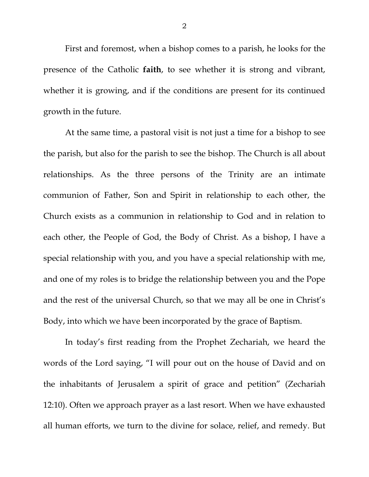First and foremost, when a bishop comes to a parish, he looks for the presence of the Catholic **faith**, to see whether it is strong and vibrant, whether it is growing, and if the conditions are present for its continued growth in the future.

At the same time, a pastoral visit is not just a time for a bishop to see the parish, but also for the parish to see the bishop. The Church is all about relationships. As the three persons of the Trinity are an intimate communion of Father, Son and Spirit in relationship to each other, the Church exists as a communion in relationship to God and in relation to each other, the People of God, the Body of Christ. As a bishop, I have a special relationship with you, and you have a special relationship with me, and one of my roles is to bridge the relationship between you and the Pope and the rest of the universal Church, so that we may all be one in Christ's Body, into which we have been incorporated by the grace of Baptism.

In today's first reading from the Prophet Zechariah, we heard the words of the Lord saying, "I will pour out on the house of David and on the inhabitants of Jerusalem a spirit of grace and petition" (Zechariah 12:10). Often we approach prayer as a last resort. When we have exhausted all human efforts, we turn to the divine for solace, relief, and remedy. But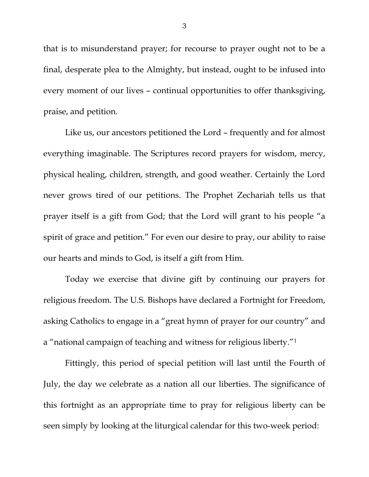that is to misunderstand prayer; for recourse to prayer ought not to be a final, desperate plea to the Almighty, but instead, ought to be infused into every moment of our lives – continual opportunities to offer thanksgiving, praise, and petition.

Like us, our ancestors petitioned the Lord – frequently and for almost everything imaginable. The Scriptures record prayers for wisdom, mercy, physical healing, children, strength, and good weather. Certainly the Lord never grows tired of our petitions. The Prophet Zechariah tells us that prayer itself is a gift from God; that the Lord will grant to his people "a spirit of grace and petition." For even our desire to pray, our ability to raise our hearts and minds to God, is itself a gift from Him.

Today we exercise that divine gift by continuing our prayers for religious freedom. The U.S. Bishops have declared a Fortnight for Freedom, asking Catholics to engage in a "great hymn of prayer for our country" and a "national campaign of teaching and witness for religious liberty."1

Fittingly, this period of special petition will last until the Fourth of July, the day we celebrate as a nation all our liberties. The significance of this fortnight as an appropriate time to pray for religious liberty can be seen simply by looking at the liturgical calendar for this two-week period: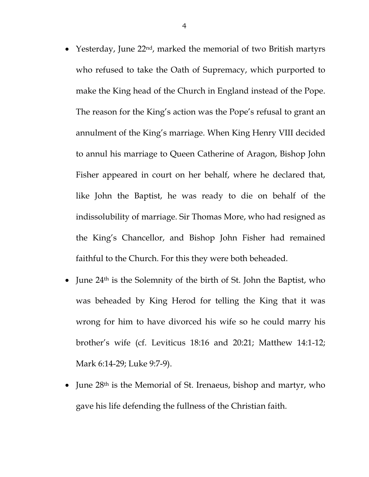- Yesterday, June 22<sup>nd</sup>, marked the memorial of two British martyrs who refused to take the Oath of Supremacy, which purported to make the King head of the Church in England instead of the Pope. The reason for the King's action was the Pope's refusal to grant an annulment of the King's marriage. When King Henry VIII decided to annul his marriage to Queen Catherine of Aragon, Bishop John Fisher appeared in court on her behalf, where he declared that, like John the Baptist, he was ready to die on behalf of the indissolubility of marriage. Sir Thomas More, who had resigned as the King's Chancellor, and Bishop John Fisher had remained faithful to the Church. For this they were both beheaded.
- June  $24<sup>th</sup>$  is the Solemnity of the birth of St. John the Baptist, who was beheaded by King Herod for telling the King that it was wrong for him to have divorced his wife so he could marry his brother's wife (cf. Leviticus 18:16 and 20:21; Matthew 14:1-12; Mark 6:14-29; Luke 9:7-9).
- June 28<sup>th</sup> is the Memorial of St. Irenaeus, bishop and martyr, who gave his life defending the fullness of the Christian faith.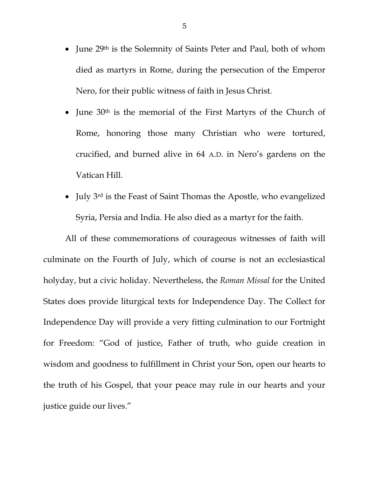- June 29<sup>th</sup> is the Solemnity of Saints Peter and Paul, both of whom died as martyrs in Rome, during the persecution of the Emperor Nero, for their public witness of faith in Jesus Christ.
- June  $30<sup>th</sup>$  is the memorial of the First Martyrs of the Church of Rome, honoring those many Christian who were tortured, crucified, and burned alive in 64 A.D. in Nero's gardens on the Vatican Hill.
- July 3rd is the Feast of Saint Thomas the Apostle, who evangelized Syria, Persia and India. He also died as a martyr for the faith.

 All of these commemorations of courageous witnesses of faith will culminate on the Fourth of July, which of course is not an ecclesiastical holyday, but a civic holiday. Nevertheless, the *Roman Missal* for the United States does provide liturgical texts for Independence Day. The Collect for Independence Day will provide a very fitting culmination to our Fortnight for Freedom: "God of justice, Father of truth, who guide creation in wisdom and goodness to fulfillment in Christ your Son, open our hearts to the truth of his Gospel, that your peace may rule in our hearts and your justice guide our lives."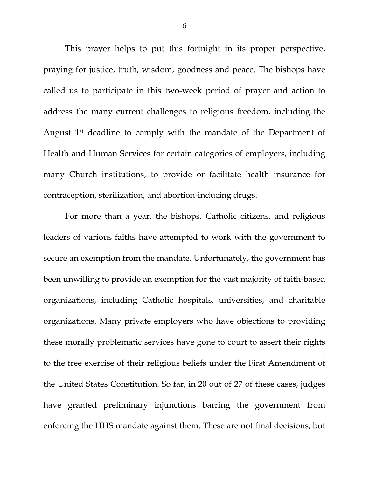This prayer helps to put this fortnight in its proper perspective, praying for justice, truth, wisdom, goodness and peace. The bishops have called us to participate in this two-week period of prayer and action to address the many current challenges to religious freedom, including the August 1st deadline to comply with the mandate of the Department of Health and Human Services for certain categories of employers, including many Church institutions, to provide or facilitate health insurance for contraception, sterilization, and abortion-inducing drugs.

For more than a year, the bishops, Catholic citizens, and religious leaders of various faiths have attempted to work with the government to secure an exemption from the mandate. Unfortunately, the government has been unwilling to provide an exemption for the vast majority of faith-based organizations, including Catholic hospitals, universities, and charitable organizations. Many private employers who have objections to providing these morally problematic services have gone to court to assert their rights to the free exercise of their religious beliefs under the First Amendment of the United States Constitution. So far, in 20 out of 27 of these cases, judges have granted preliminary injunctions barring the government from enforcing the HHS mandate against them. These are not final decisions, but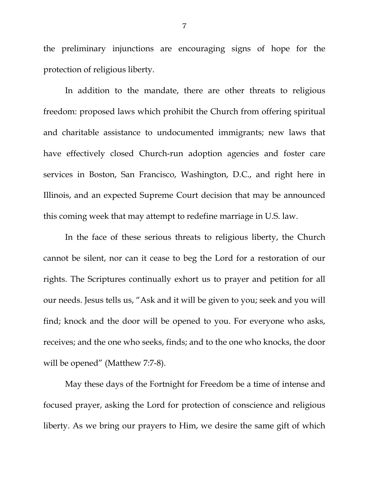the preliminary injunctions are encouraging signs of hope for the protection of religious liberty.

In addition to the mandate, there are other threats to religious freedom: proposed laws which prohibit the Church from offering spiritual and charitable assistance to undocumented immigrants; new laws that have effectively closed Church-run adoption agencies and foster care services in Boston, San Francisco, Washington, D.C., and right here in Illinois, and an expected Supreme Court decision that may be announced this coming week that may attempt to redefine marriage in U.S. law.

In the face of these serious threats to religious liberty, the Church cannot be silent, nor can it cease to beg the Lord for a restoration of our rights. The Scriptures continually exhort us to prayer and petition for all our needs. Jesus tells us, "Ask and it will be given to you; seek and you will find; knock and the door will be opened to you. For everyone who asks, receives; and the one who seeks, finds; and to the one who knocks, the door will be opened" (Matthew 7:7-8).

May these days of the Fortnight for Freedom be a time of intense and focused prayer, asking the Lord for protection of conscience and religious liberty. As we bring our prayers to Him, we desire the same gift of which